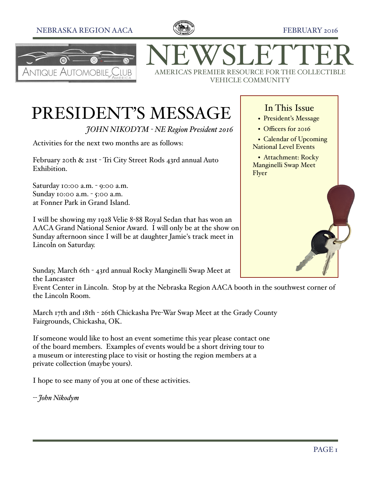## NEBRASKA REGION AACA  $\mathbb{C}$   $\mathbb{C}$   $\mathbb{R}$  FEBRUARY 2016





NEWSLETTER VEHICLE COMMUNITY

## PRESIDENT'S MESSAGE

*JOHN NIKODYM - NE Region President 2016*

Activities for the next two months are as follows:

February 20th & 21st - Tri City Street Rods 43rd annual Auto Exhibition.

Saturday 10:00 a.m. - 9:00 a.m. Sunday 10:00 a.m. - 5:00 a.m. at Fonner Park in Grand Island.

I will be showing my 1928 Velie 8-88 Royal Sedan that has won an AACA Grand National Senior Award. I will only be at the show on Sunday afternoon since I will be at daughter Jamie's track meet in Lincoln on Saturday.

Sunday, March 6th - 43rd annual Rocky Manginelli Swap Meet at the Lancaster

Event Center in Lincoln. Stop by at the Nebraska Region AACA booth in the southwest corner of the Lincoln Room.

March 17th and 18th - 26th Chickasha Pre-War Swap Meet at the Grady County Fairgrounds, Chickasha, OK.

If someone would like to host an event sometime this year please contact one of the board members. Examples of events would be a short driving tour to a museum or interesting place to visit or hosting the region members at a private collection (maybe yours).

I hope to see many of you at one of these activities.

*-- John Nikodym*

## In This Issue

- President's Message
- Officers for 2016
- Calendar of Upcoming National Level Events

• Attachment: Rocky Manginelli Swap Meet